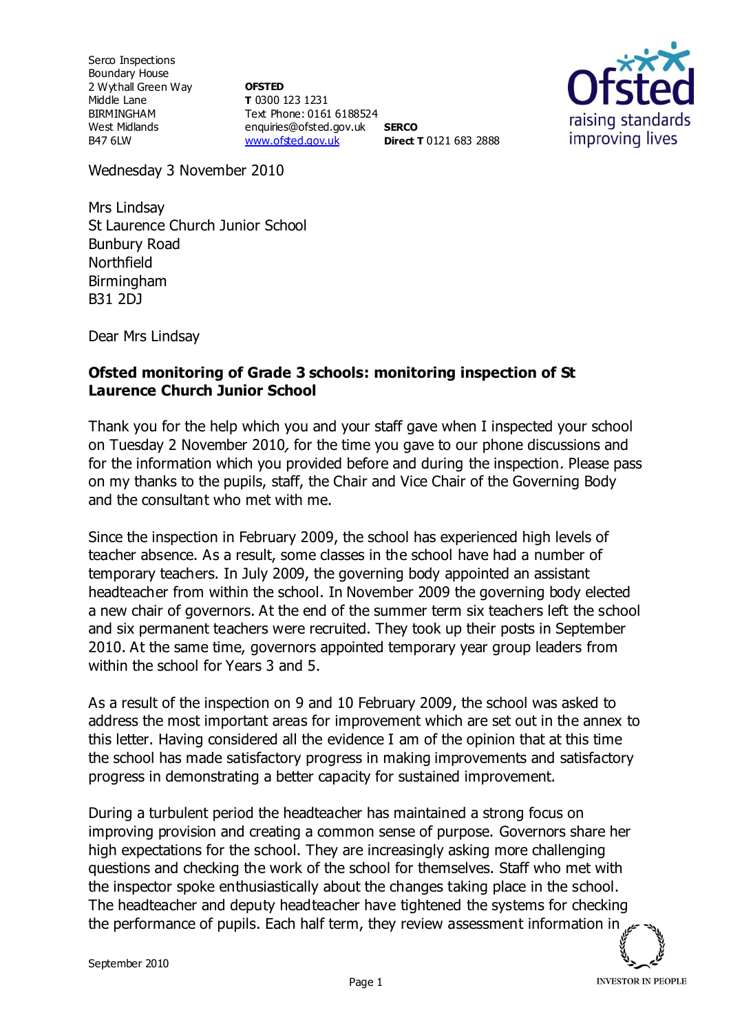Serco Inspections Boundary House 2 Wythall Green Way Middle Lane BIRMINGHAM West Midlands B47 6LW

**OFSTED T** 0300 123 1231 Text Phone: 0161 6188524 enquiries@ofsted.gov.uk **SERCO** [www.ofsted.gov.uk](http://www.ofsted.gov.uk/) **Direct T** 0121 683 2888



Wednesday 3 November 2010

Mrs Lindsay St Laurence Church Junior School Bunbury Road Northfield Birmingham B31 2DJ

Dear Mrs Lindsay

## **Ofsted monitoring of Grade 3 schools: monitoring inspection of St Laurence Church Junior School**

Thank you for the help which you and your staff gave when I inspected your school on Tuesday 2 November 2010, for the time you gave to our phone discussions and for the information which you provided before and during the inspection. Please pass on my thanks to the pupils, staff, the Chair and Vice Chair of the Governing Body and the consultant who met with me.

Since the inspection in February 2009, the school has experienced high levels of teacher absence. As a result, some classes in the school have had a number of temporary teachers. In July 2009, the governing body appointed an assistant headteacher from within the school. In November 2009 the governing body elected a new chair of governors. At the end of the summer term six teachers left the school and six permanent teachers were recruited. They took up their posts in September 2010. At the same time, governors appointed temporary year group leaders from within the school for Years 3 and 5.

As a result of the inspection on 9 and 10 February 2009, the school was asked to address the most important areas for improvement which are set out in the annex to this letter. Having considered all the evidence I am of the opinion that at this time the school has made satisfactory progress in making improvements and satisfactory progress in demonstrating a better capacity for sustained improvement.

During a turbulent period the headteacher has maintained a strong focus on improving provision and creating a common sense of purpose. Governors share her high expectations for the school. They are increasingly asking more challenging questions and checking the work of the school for themselves. Staff who met with the inspector spoke enthusiastically about the changes taking place in the school. The headteacher and deputy headteacher have tightened the systems for checking the performance of pupils. Each half term, they review assessment information in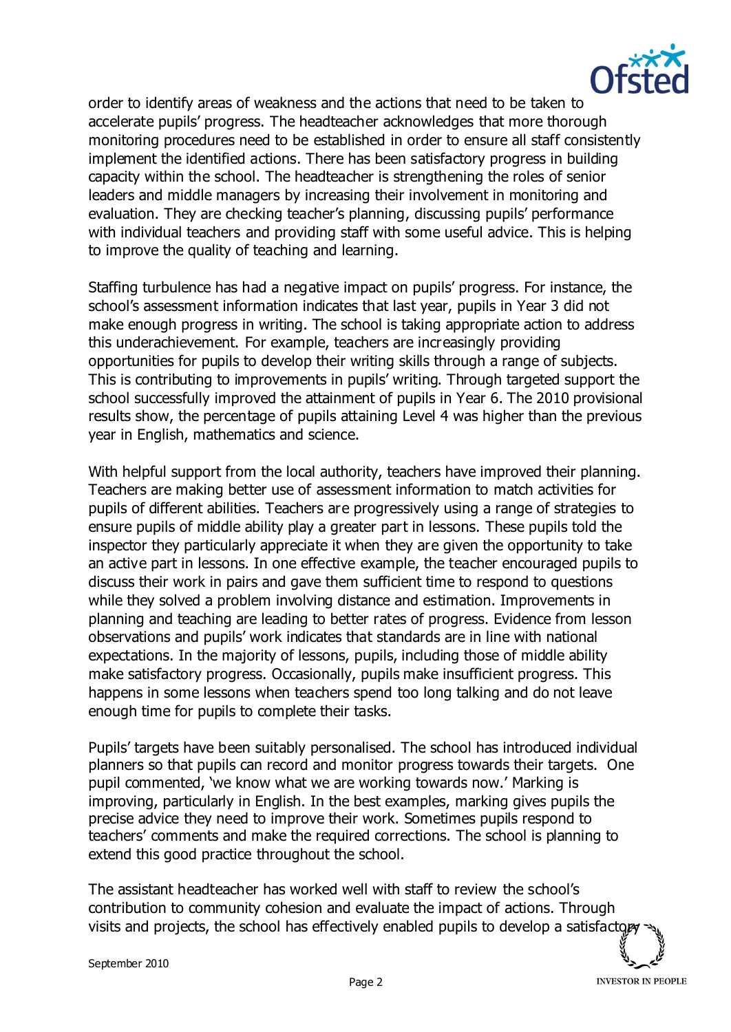

order to identify areas of weakness and the actions that need to be taken to accelerate pupils' progress. The headteacher acknowledges that more thorough monitoring procedures need to be established in order to ensure all staff consistently implement the identified actions. There has been satisfactory progress in building capacity within the school. The headteacher is strengthening the roles of senior leaders and middle managers by increasing their involvement in monitoring and evaluation. They are checking teacher's planning, discussing pupils' performance with individual teachers and providing staff with some useful advice. This is helping to improve the quality of teaching and learning.

Staffing turbulence has had a negative impact on pupils' progress. For instance, the school's assessment information indicates that last year, pupils in Year 3 did not make enough progress in writing. The school is taking appropriate action to address this underachievement. For example, teachers are increasingly providing opportunities for pupils to develop their writing skills through a range of subjects. This is contributing to improvements in pupils' writing. Through targeted support the school successfully improved the attainment of pupils in Year 6. The 2010 provisional results show, the percentage of pupils attaining Level 4 was higher than the previous year in English, mathematics and science.

With helpful support from the local authority, teachers have improved their planning. Teachers are making better use of assessment information to match activities for pupils of different abilities. Teachers are progressively using a range of strategies to ensure pupils of middle ability play a greater part in lessons. These pupils told the inspector they particularly appreciate it when they are given the opportunity to take an active part in lessons. In one effective example, the teacher encouraged pupils to discuss their work in pairs and gave them sufficient time to respond to questions while they solved a problem involving distance and estimation. Improvements in planning and teaching are leading to better rates of progress. Evidence from lesson observations and pupils' work indicates that standards are in line with national expectations. In the majority of lessons, pupils, including those of middle ability make satisfactory progress. Occasionally, pupils make insufficient progress. This happens in some lessons when teachers spend too long talking and do not leave enough time for pupils to complete their tasks.

Pupils' targets have been suitably personalised. The school has introduced individual planners so that pupils can record and monitor progress towards their targets. One pupil commented, 'we know what we are working towards now.' Marking is improving, particularly in English. In the best examples, marking gives pupils the precise advice they need to improve their work. Sometimes pupils respond to teachers' comments and make the required corrections. The school is planning to extend this good practice throughout the school.

The assistant headteacher has worked well with staff to review the school's contribution to community cohesion and evaluate the impact of actions. Through visits and projects, the school has effectively enabled pupils to develop a satisfactor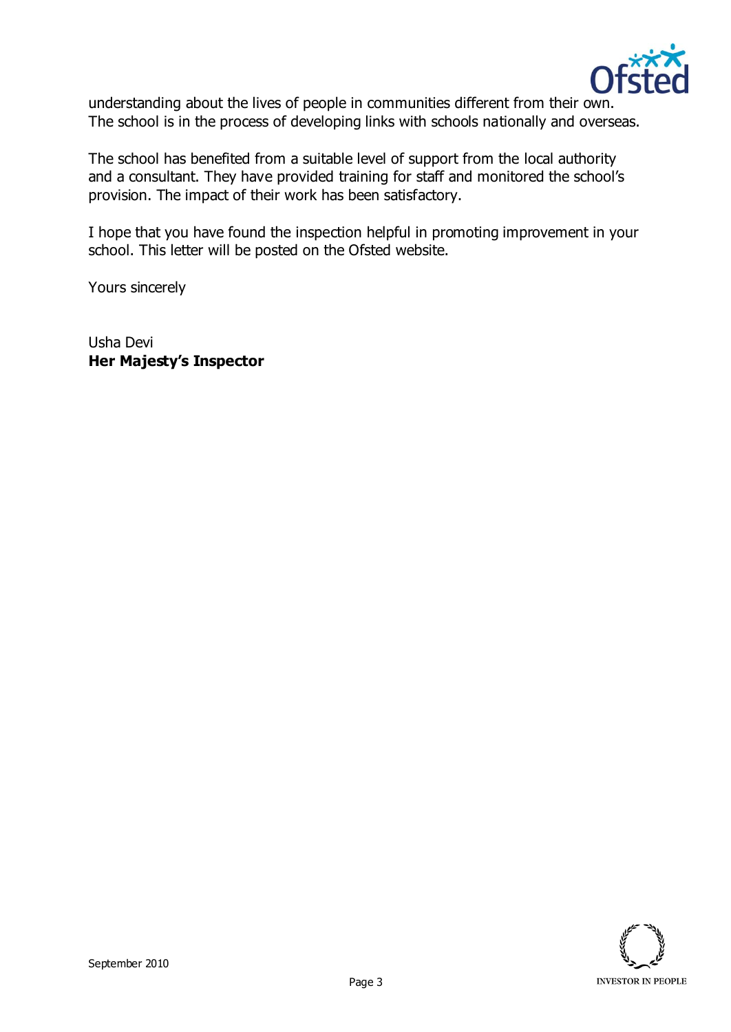

understanding about the lives of people in communities different from their own. The school is in the process of developing links with schools nationally and overseas.

The school has benefited from a suitable level of support from the local authority and a consultant. They have provided training for staff and monitored the school's provision. The impact of their work has been satisfactory.

I hope that you have found the inspection helpful in promoting improvement in your school. This letter will be posted on the Ofsted website.

Yours sincerely

Usha Devi **Her Majesty's Inspector**